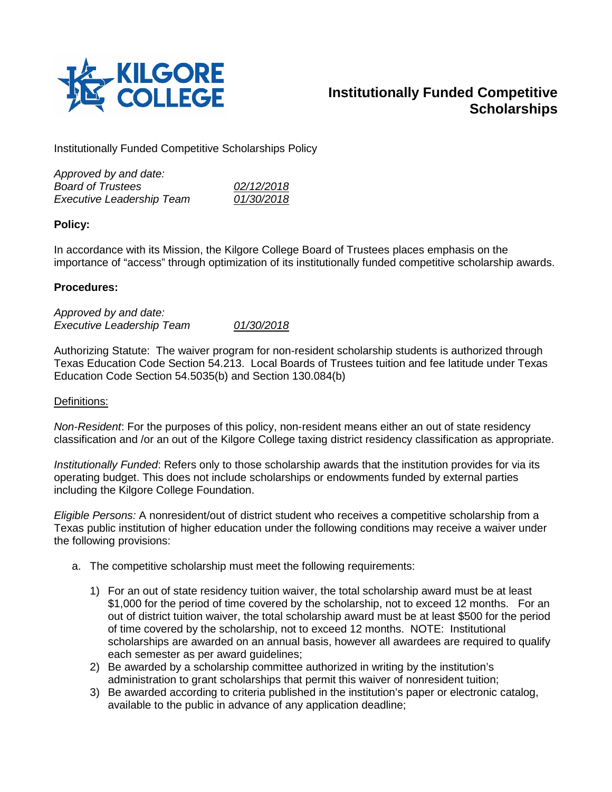

# **Institutionally Funded Competitive Scholarships**

Institutionally Funded Competitive Scholarships Policy

| Approved by and date:            |            |
|----------------------------------|------------|
| <b>Board of Trustees</b>         | 02/12/2018 |
| <b>Executive Leadership Team</b> | 01/30/2018 |

### **Policy:**

In accordance with its Mission, the Kilgore College Board of Trustees places emphasis on the importance of "access" through optimization of its institutionally funded competitive scholarship awards.

#### **Procedures:**

*Approved by and date: Executive Leadership Team 01/30/2018*

Authorizing Statute: The waiver program for non-resident scholarship students is authorized through Texas Education Code Section 54.213. Local Boards of Trustees tuition and fee latitude under Texas Education Code Section 54.5035(b) and Section 130.084(b)

#### Definitions:

*Non-Resident*: For the purposes of this policy, non-resident means either an out of state residency classification and /or an out of the Kilgore College taxing district residency classification as appropriate.

*Institutionally Funded*: Refers only to those scholarship awards that the institution provides for via its operating budget. This does not include scholarships or endowments funded by external parties including the Kilgore College Foundation.

*Eligible Persons:* A nonresident/out of district student who receives a competitive scholarship from a Texas public institution of higher education under the following conditions may receive a waiver under the following provisions:

- a. The competitive scholarship must meet the following requirements:
	- 1) For an out of state residency tuition waiver, the total scholarship award must be at least \$1,000 for the period of time covered by the scholarship, not to exceed 12 months. For an out of district tuition waiver, the total scholarship award must be at least \$500 for the period of time covered by the scholarship, not to exceed 12 months. NOTE: Institutional scholarships are awarded on an annual basis, however all awardees are required to qualify each semester as per award guidelines;
	- 2) Be awarded by a scholarship committee authorized in writing by the institution's administration to grant scholarships that permit this waiver of nonresident tuition;
	- 3) Be awarded according to criteria published in the institution's paper or electronic catalog, available to the public in advance of any application deadline;